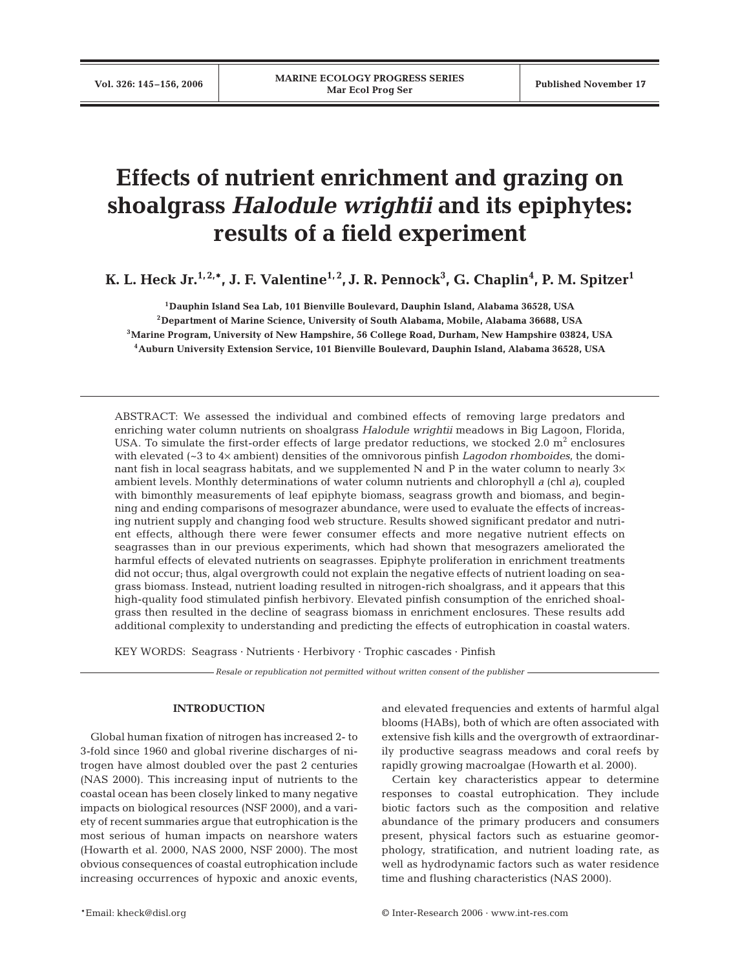# **Effects of nutrient enrichment and grazing on shoalgrass** *Halodule wrightii* **and its epiphytes: results of a field experiment**

**K. L. Heck Jr.1, 2,\*, J. F. Valentine1, 2, J. R. Pennock3 , G. Chaplin4 , P. M. Spitzer1**

**1Dauphin Island Sea Lab, 101 Bienville Boulevard, Dauphin Island, Alabama 36528, USA 2Department of Marine Science, University of South Alabama, Mobile, Alabama 36688, USA 3Marine Program, University of New Hampshire, 56 College Road, Durham, New Hampshire 03824, USA 4Auburn University Extension Service, 101 Bienville Boulevard, Dauphin Island, Alabama 36528, USA**

ABSTRACT: We assessed the individual and combined effects of removing large predators and enriching water column nutrients on shoalgrass *Halodule wrightii* meadows in Big Lagoon, Florida, USA. To simulate the first-order effects of large predator reductions, we stocked 2.0  $m<sup>2</sup>$  enclosures with elevated (~3 to 4× ambient) densities of the omnivorous pinfish *Lagodon rhomboides*, the dominant fish in local seagrass habitats, and we supplemented N and P in the water column to nearly  $3\times$ ambient levels. Monthly determinations of water column nutrients and chlorophyll *a* (chl *a)*, coupled with bimonthly measurements of leaf epiphyte biomass, seagrass growth and biomass, and beginning and ending comparisons of mesograzer abundance, were used to evaluate the effects of increasing nutrient supply and changing food web structure. Results showed significant predator and nutrient effects, although there were fewer consumer effects and more negative nutrient effects on seagrasses than in our previous experiments, which had shown that mesograzers ameliorated the harmful effects of elevated nutrients on seagrasses. Epiphyte proliferation in enrichment treatments did not occur; thus, algal overgrowth could not explain the negative effects of nutrient loading on seagrass biomass. Instead, nutrient loading resulted in nitrogen-rich shoalgrass, and it appears that this high-quality food stimulated pinfish herbivory. Elevated pinfish consumption of the enriched shoalgrass then resulted in the decline of seagrass biomass in enrichment enclosures. These results add additional complexity to understanding and predicting the effects of eutrophication in coastal waters.

KEY WORDS: Seagrass · Nutrients · Herbivory · Trophic cascades · Pinfish

*Resale or republication not permitted without written consent of the publisher*

# **INTRODUCTION**

Global human fixation of nitrogen has increased 2- to 3-fold since 1960 and global riverine discharges of nitrogen have almost doubled over the past 2 centuries (NAS 2000). This increasing input of nutrients to the coastal ocean has been closely linked to many negative impacts on biological resources (NSF 2000), and a variety of recent summaries argue that eutrophication is the most serious of human impacts on nearshore waters (Howarth et al. 2000, NAS 2000, NSF 2000). The most obvious consequences of coastal eutrophication include increasing occurrences of hypoxic and anoxic events, and elevated frequencies and extents of harmful algal blooms (HABs), both of which are often associated with extensive fish kills and the overgrowth of extraordinarily productive seagrass meadows and coral reefs by rapidly growing macroalgae (Howarth et al. 2000).

Certain key characteristics appear to determine responses to coastal eutrophication. They include biotic factors such as the composition and relative abundance of the primary producers and consumers present, physical factors such as estuarine geomorphology, stratification, and nutrient loading rate, as well as hydrodynamic factors such as water residence time and flushing characteristics (NAS 2000).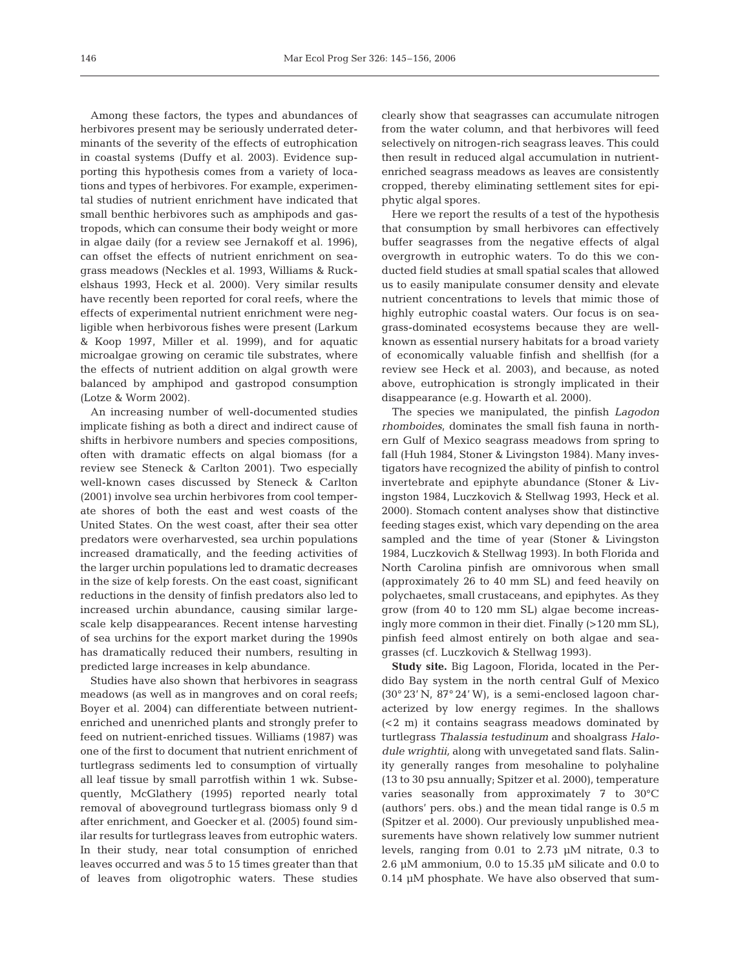Among these factors, the types and abundances of herbivores present may be seriously underrated determinants of the severity of the effects of eutrophication in coastal systems (Duffy et al. 2003). Evidence supporting this hypothesis comes from a variety of locations and types of herbivores. For example, experimental studies of nutrient enrichment have indicated that small benthic herbivores such as amphipods and gastropods, which can consume their body weight or more in algae daily (for a review see Jernakoff et al. 1996), can offset the effects of nutrient enrichment on seagrass meadows (Neckles et al. 1993, Williams & Ruckelshaus 1993, Heck et al. 2000). Very similar results have recently been reported for coral reefs, where the effects of experimental nutrient enrichment were negligible when herbivorous fishes were present (Larkum & Koop 1997, Miller et al. 1999), and for aquatic microalgae growing on ceramic tile substrates, where the effects of nutrient addition on algal growth were balanced by amphipod and gastropod consumption (Lotze & Worm 2002).

An increasing number of well-documented studies implicate fishing as both a direct and indirect cause of shifts in herbivore numbers and species compositions, often with dramatic effects on algal biomass (for a review see Steneck & Carlton 2001). Two especially well-known cases discussed by Steneck & Carlton (2001) involve sea urchin herbivores from cool temperate shores of both the east and west coasts of the United States. On the west coast, after their sea otter predators were overharvested, sea urchin populations increased dramatically, and the feeding activities of the larger urchin populations led to dramatic decreases in the size of kelp forests. On the east coast, significant reductions in the density of finfish predators also led to increased urchin abundance, causing similar largescale kelp disappearances. Recent intense harvesting of sea urchins for the export market during the 1990s has dramatically reduced their numbers, resulting in predicted large increases in kelp abundance.

Studies have also shown that herbivores in seagrass meadows (as well as in mangroves and on coral reefs; Boyer et al. 2004) can differentiate between nutrientenriched and unenriched plants and strongly prefer to feed on nutrient-enriched tissues. Williams (1987) was one of the first to document that nutrient enrichment of turtlegrass sediments led to consumption of virtually all leaf tissue by small parrotfish within 1 wk. Subsequently, McGlathery (1995) reported nearly total removal of aboveground turtlegrass biomass only 9 d after enrichment, and Goecker et al. (2005) found similar results for turtlegrass leaves from eutrophic waters. In their study, near total consumption of enriched leaves occurred and was 5 to 15 times greater than that of leaves from oligotrophic waters. These studies

clearly show that seagrasses can accumulate nitrogen from the water column, and that herbivores will feed selectively on nitrogen-rich seagrass leaves. This could then result in reduced algal accumulation in nutrientenriched seagrass meadows as leaves are consistently cropped, thereby eliminating settlement sites for epiphytic algal spores.

Here we report the results of a test of the hypothesis that consumption by small herbivores can effectively buffer seagrasses from the negative effects of algal overgrowth in eutrophic waters. To do this we conducted field studies at small spatial scales that allowed us to easily manipulate consumer density and elevate nutrient concentrations to levels that mimic those of highly eutrophic coastal waters. Our focus is on seagrass-dominated ecosystems because they are wellknown as essential nursery habitats for a broad variety of economically valuable finfish and shellfish (for a review see Heck et al. 2003), and because, as noted above, eutrophication is strongly implicated in their disappearance (e.g. Howarth et al. 2000).

The species we manipulated, the pinfish *Lagodon rhomboides*, dominates the small fish fauna in northern Gulf of Mexico seagrass meadows from spring to fall (Huh 1984, Stoner & Livingston 1984). Many investigators have recognized the ability of pinfish to control invertebrate and epiphyte abundance (Stoner & Livingston 1984, Luczkovich & Stellwag 1993, Heck et al. 2000). Stomach content analyses show that distinctive feeding stages exist, which vary depending on the area sampled and the time of year (Stoner & Livingston 1984, Luczkovich & Stellwag 1993). In both Florida and North Carolina pinfish are omnivorous when small (approximately 26 to 40 mm SL) and feed heavily on polychaetes, small crustaceans, and epiphytes. As they grow (from 40 to 120 mm SL) algae become increasingly more common in their diet. Finally (>120 mm SL), pinfish feed almost entirely on both algae and seagrasses (cf. Luczkovich & Stellwag 1993).

**Study site.** Big Lagoon, Florida, located in the Perdido Bay system in the north central Gulf of Mexico (30° 23' N, 87° 24' W), is a semi-enclosed lagoon characterized by low energy regimes. In the shallows (<2 m) it contains seagrass meadows dominated by turtlegrass *Thalassia testudinum* and shoalgrass *Halodule wrightii,* along with unvegetated sand flats. Salinity generally ranges from mesohaline to polyhaline (13 to 30 psu annually; Spitzer et al. 2000), temperature varies seasonally from approximately 7 to 30°C (authors' pers. obs.) and the mean tidal range is 0.5 m (Spitzer et al. 2000). Our previously unpublished measurements have shown relatively low summer nutrient levels, ranging from 0.01 to 2.73 µM nitrate, 0.3 to 2.6 µM ammonium, 0.0 to 15.35 µM silicate and 0.0 to 0.14 µM phosphate. We have also observed that sum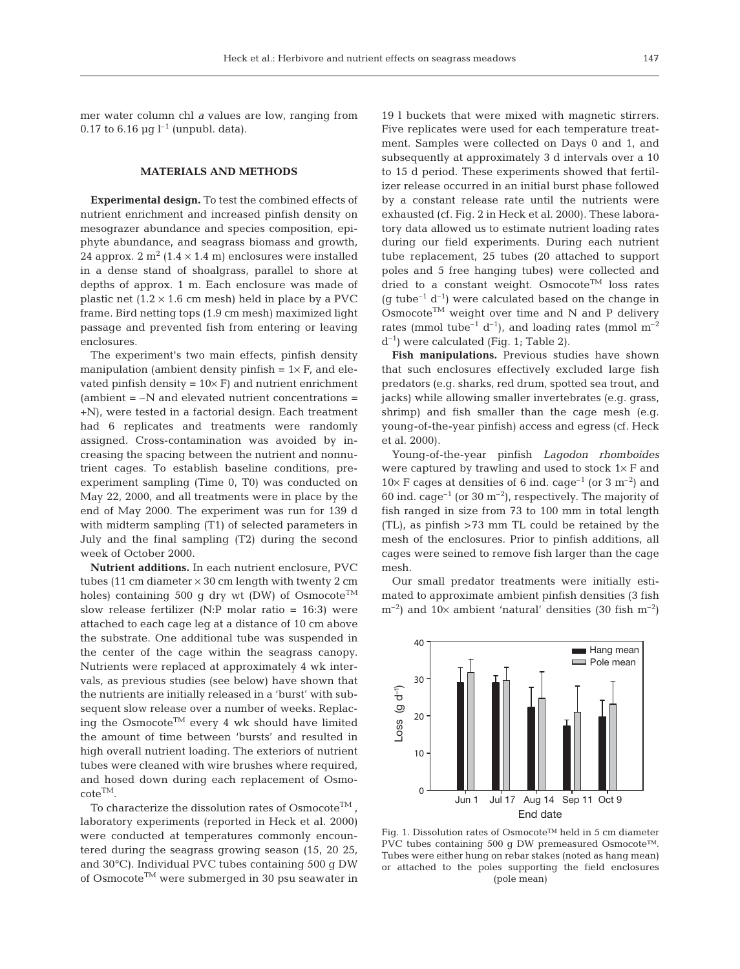mer water column chl *a* values are low, ranging from 0.17 to 6.16  $\mu$ g l<sup>-1</sup> (unpubl. data).

# **MATERIALS AND METHODS**

**Experimental design.** To test the combined effects of nutrient enrichment and increased pinfish density on mesograzer abundance and species composition, epiphyte abundance, and seagrass biomass and growth, 24 approx.  $2 \text{ m}^2 (1.4 \times 1.4 \text{ m})$  enclosures were installed in a dense stand of shoalgrass, parallel to shore at depths of approx. 1 m. Each enclosure was made of plastic net  $(1.2 \times 1.6 \text{ cm mesh})$  held in place by a PVC frame. Bird netting tops (1.9 cm mesh) maximized light passage and prevented fish from entering or leaving enclosures.

The experiment's two main effects, pinfish density manipulation (ambient density pinfish  $= 1 \times F$ , and elevated pinfish density =  $10\times$  F) and nutrient enrichment  $(ambient = -N$  and elevated nutrient concentrations = +N), were tested in a factorial design. Each treatment had 6 replicates and treatments were randomly assigned. Cross-contamination was avoided by increasing the spacing between the nutrient and nonnutrient cages. To establish baseline conditions, preexperiment sampling (Time 0, T0) was conducted on May 22, 2000, and all treatments were in place by the end of May 2000. The experiment was run for 139 d with midterm sampling (T1) of selected parameters in July and the final sampling (T2) during the second week of October 2000.

**Nutrient additions.** In each nutrient enclosure, PVC tubes (11 cm diameter  $\times$  30 cm length with twenty 2 cm holes) containing 500 g dry wt (DW) of Osmocote<sup>TM</sup> slow release fertilizer (N:P molar ratio  $= 16:3$ ) were attached to each cage leg at a distance of 10 cm above the substrate. One additional tube was suspended in the center of the cage within the seagrass canopy. Nutrients were replaced at approximately 4 wk intervals, as previous studies (see below) have shown that the nutrients are initially released in a 'burst' with subsequent slow release over a number of weeks. Replacing the Osmocote<sup>TM</sup> every 4 wk should have limited the amount of time between 'bursts' and resulted in high overall nutrient loading. The exteriors of nutrient tubes were cleaned with wire brushes where required, and hosed down during each replacement of Osmo- $\mathbf{cote^{TM}}$ 

To characterize the dissolution rates of  $Osmocote^{TM}$ , laboratory experiments (reported in Heck et al. 2000) were conducted at temperatures commonly encountered during the seagrass growing season (15, 20 25, and 30°C). Individual PVC tubes containing 500 g DW of OsmocoteTM were submerged in 30 psu seawater in 19 l buckets that were mixed with magnetic stirrers. Five replicates were used for each temperature treatment. Samples were collected on Days 0 and 1, and subsequently at approximately 3 d intervals over a 10 to 15 d period. These experiments showed that fertilizer release occurred in an initial burst phase followed by a constant release rate until the nutrients were exhausted (cf. Fig. 2 in Heck et al. 2000). These laboratory data allowed us to estimate nutrient loading rates during our field experiments. During each nutrient tube replacement, 25 tubes (20 attached to support poles and 5 free hanging tubes) were collected and dried to a constant weight. Osmocote<sup>TM</sup> loss rates (q tube<sup>-1</sup> d<sup>-1</sup>) were calculated based on the change in  $Osmocote^{TM}$  weight over time and N and P delivery rates (mmol tube<sup>-1</sup> d<sup>-1</sup>), and loading rates (mmol m<sup>-2</sup>  $d^{-1}$ ) were calculated (Fig. 1; Table 2).

**Fish manipulations.** Previous studies have shown that such enclosures effectively excluded large fish predators (e.g. sharks, red drum, spotted sea trout, and jacks) while allowing smaller invertebrates (e.g. grass, shrimp) and fish smaller than the cage mesh (e.g. young-of-the-year pinfish) access and egress (cf. Heck et al. 2000).

Young-of-the-year pinfish *Lagodon rhomboides* were captured by trawling and used to stock  $1\times$  F and  $10\times$  F cages at densities of 6 ind. cage<sup>-1</sup> (or 3 m<sup>-2</sup>) and 60 ind. cage<sup>-1</sup> (or 30  $\mathrm{m}^{-2}$ ), respectively. The majority of fish ranged in size from 73 to 100 mm in total length (TL), as pinfish >73 mm TL could be retained by the mesh of the enclosures. Prior to pinfish additions, all cages were seined to remove fish larger than the cage mesh.

Our small predator treatments were initially estimated to approximate ambient pinfish densities (3 fish  $\rm{m}^{-2}$ ) and 10× ambient 'natural' densities (30 fish  $\rm{m}^{-2}$ )



Fig. 1. Dissolution rates of Osmocote™ held in 5 cm diameter PVC tubes containing 500 g DW premeasured Osmocote™. Tubes were either hung on rebar stakes (noted as hang mean) or attached to the poles supporting the field enclosures (pole mean)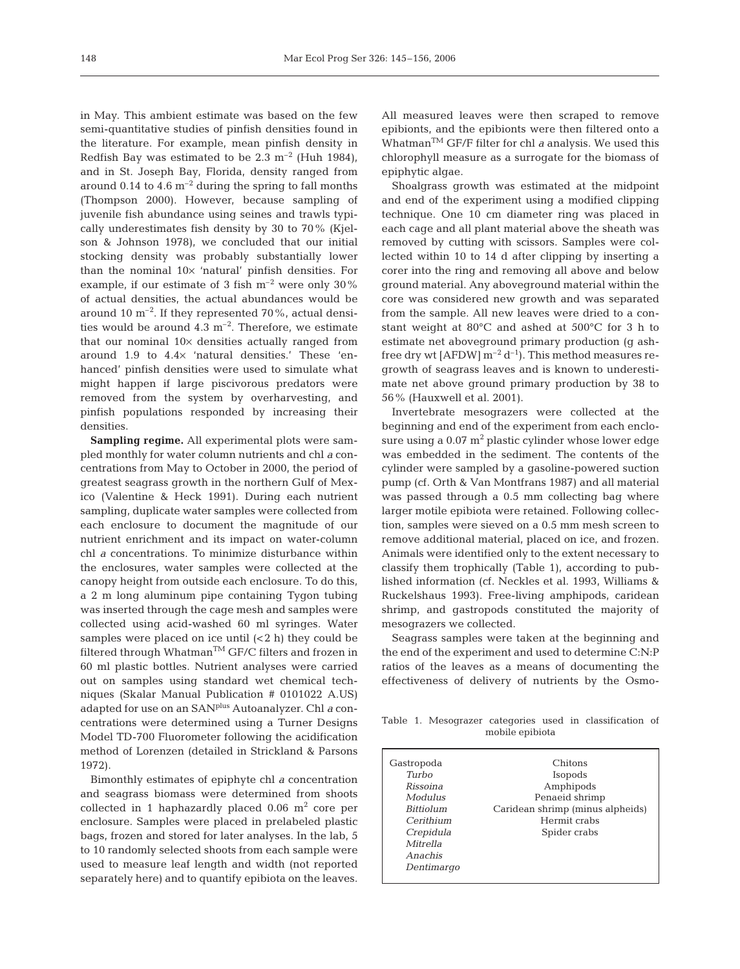in May. This ambient estimate was based on the few semi-quantitative studies of pinfish densities found in the literature. For example, mean pinfish density in Redfish Bay was estimated to be  $2.3 \text{ m}^{-2}$  (Huh 1984), and in St. Joseph Bay, Florida, density ranged from around 0.14 to 4.6  $\mathrm{m}^{-2}$  during the spring to fall months (Thompson 2000). However, because sampling of juvenile fish abundance using seines and trawls typically underestimates fish density by 30 to 70% (Kjelson & Johnson 1978), we concluded that our initial stocking density was probably substantially lower than the nominal 10× 'natural' pinfish densities. For example, if our estimate of 3 fish  $m^{-2}$  were only 30% of actual densities, the actual abundances would be around 10  $\mathrm{m}^{-2}$ . If they represented 70%, actual densities would be around  $4.3 \text{ m}^{-2}$ . Therefore, we estimate that our nominal  $10\times$  densities actually ranged from around 1.9 to 4.4× 'natural densities.' These 'enhanced' pinfish densities were used to simulate what might happen if large piscivorous predators were removed from the system by overharvesting, and pinfish populations responded by increasing their densities.

**Sampling regime.** All experimental plots were sampled monthly for water column nutrients and chl *a* concentrations from May to October in 2000, the period of greatest seagrass growth in the northern Gulf of Mexico (Valentine & Heck 1991). During each nutrient sampling, duplicate water samples were collected from each enclosure to document the magnitude of our nutrient enrichment and its impact on water-column chl *a* concentrations. To minimize disturbance within the enclosures, water samples were collected at the canopy height from outside each enclosure. To do this, a 2 m long aluminum pipe containing Tygon tubing was inserted through the cage mesh and samples were collected using acid-washed 60 ml syringes. Water samples were placed on ice until  $(< 2 h)$  they could be filtered through Whatman<sup>TM</sup> GF/C filters and frozen in 60 ml plastic bottles. Nutrient analyses were carried out on samples using standard wet chemical techniques (Skalar Manual Publication # 0101022 A.US) adapted for use on an SANplus Autoanalyzer. Chl *a* concentrations were determined using a Turner Designs Model TD-700 Fluorometer following the acidification method of Lorenzen (detailed in Strickland & Parsons 1972).

Bimonthly estimates of epiphyte chl *a* concentration and seagrass biomass were determined from shoots collected in 1 haphazardly placed  $0.06$  m<sup>2</sup> core per enclosure. Samples were placed in prelabeled plastic bags, frozen and stored for later analyses. In the lab, 5 to 10 randomly selected shoots from each sample were used to measure leaf length and width (not reported separately here) and to quantify epibiota on the leaves.

All measured leaves were then scraped to remove epibionts, and the epibionts were then filtered onto a WhatmanTM GF/F filter for chl *a* analysis. We used this chlorophyll measure as a surrogate for the biomass of epiphytic algae.

Shoalgrass growth was estimated at the midpoint and end of the experiment using a modified clipping technique. One 10 cm diameter ring was placed in each cage and all plant material above the sheath was removed by cutting with scissors. Samples were collected within 10 to 14 d after clipping by inserting a corer into the ring and removing all above and below ground material. Any aboveground material within the core was considered new growth and was separated from the sample. All new leaves were dried to a constant weight at 80°C and ashed at 500°C for 3 h to estimate net aboveground primary production (g ashfree dry wt [AFDW]  $m^{-2} d^{-1}$ ). This method measures regrowth of seagrass leaves and is known to underestimate net above ground primary production by 38 to 56% (Hauxwell et al. 2001).

Invertebrate mesograzers were collected at the beginning and end of the experiment from each enclosure using a  $0.07 \text{ m}^2$  plastic cylinder whose lower edge was embedded in the sediment. The contents of the cylinder were sampled by a gasoline-powered suction pump (cf. Orth & Van Montfrans 1987) and all material was passed through a 0.5 mm collecting bag where larger motile epibiota were retained. Following collection, samples were sieved on a 0.5 mm mesh screen to remove additional material, placed on ice, and frozen. Animals were identified only to the extent necessary to classify them trophically (Table 1), according to published information (cf. Neckles et al. 1993, Williams & Ruckelshaus 1993). Free-living amphipods, caridean shrimp, and gastropods constituted the majority of mesograzers we collected.

Seagrass samples were taken at the beginning and the end of the experiment and used to determine C:N:P ratios of the leaves as a means of documenting the effectiveness of delivery of nutrients by the Osmo-

Table 1. Mesograzer categories used in classification of mobile epibiota

| Gastropoda<br>Turbo<br>Rissoina<br>Modulus<br><b>Bittiolum</b><br>$C$ erithium<br>Crepidula<br>Mitrella<br>Anachis | Chitons<br>Isopods<br>Amphipods<br>Penaeid shrimp<br>Caridean shrimp (minus alpheids)<br>Hermit crabs<br>Spider crabs |
|--------------------------------------------------------------------------------------------------------------------|-----------------------------------------------------------------------------------------------------------------------|
| Dentimargo                                                                                                         |                                                                                                                       |
|                                                                                                                    |                                                                                                                       |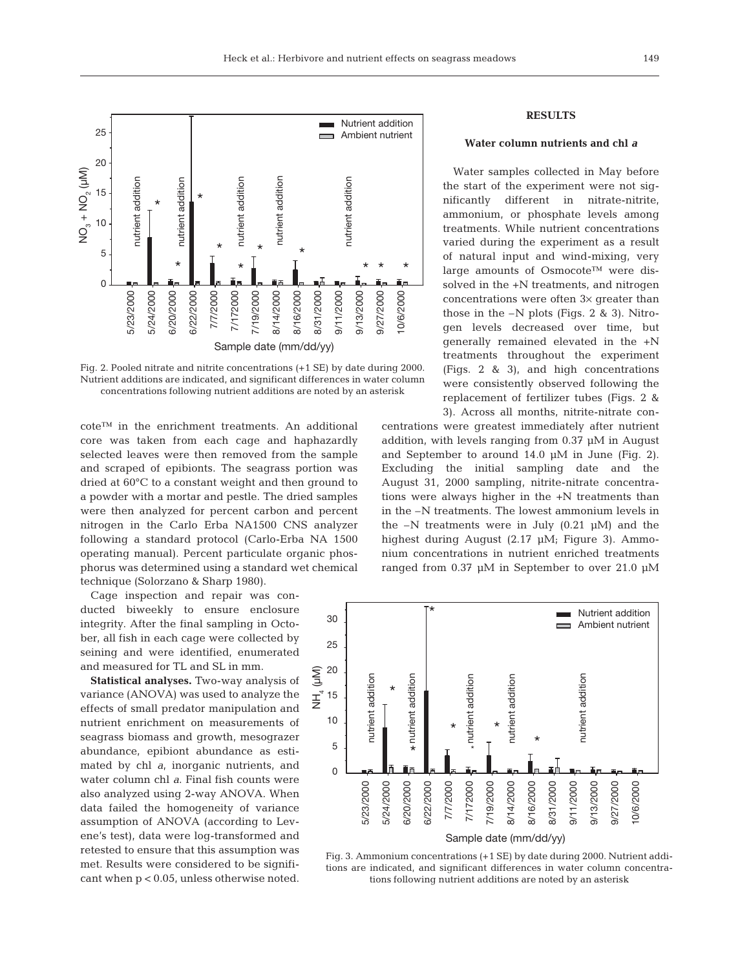

Fig. 2. Pooled nitrate and nitrite concentrations (+1 SE) by date during 2000. Nutrient additions are indicated, and significant differences in water column concentrations following nutrient additions are noted by an asterisk

cote™ in the enrichment treatments. An additional core was taken from each cage and haphazardly selected leaves were then removed from the sample and scraped of epibionts. The seagrass portion was dried at 60°C to a constant weight and then ground to a powder with a mortar and pestle. The dried samples were then analyzed for percent carbon and percent nitrogen in the Carlo Erba NA1500 CNS analyzer following a standard protocol (Carlo-Erba NA 1500 operating manual). Percent particulate organic phosphorus was determined using a standard wet chemical technique (Solorzano & Sharp 1980).

Cage inspection and repair was conducted biweekly to ensure enclosure integrity. After the final sampling in October, all fish in each cage were collected by seining and were identified, enumerated and measured for TL and SL in mm.

**Statistical analyses.** Two-way analysis of variance (ANOVA) was used to analyze the effects of small predator manipulation and nutrient enrichment on measurements of seagrass biomass and growth, mesograzer abundance, epibiont abundance as estimated by chl *a*, inorganic nutrients, and water column chl *a*. Final fish counts were also analyzed using 2-way ANOVA. When data failed the homogeneity of variance assumption of ANOVA (according to Levene's test), data were log-transformed and retested to ensure that this assumption was met. Results were considered to be significant when p < 0.05, unless otherwise noted.

# **RESULTS**

# **Water column nutrients and chl** *a*

Water samples collected in May before the start of the experiment were not significantly different in nitrate-nitrite, ammonium, or phosphate levels among treatments. While nutrient concentrations varied during the experiment as a result of natural input and wind-mixing, very large amounts of Osmocote™ were dissolved in the +N treatments, and nitrogen concentrations were often 3× greater than those in the  $-N$  plots (Figs. 2 & 3). Nitrogen levels decreased over time, but generally remained elevated in the +N treatments throughout the experiment (Figs. 2 & 3), and high concentrations were consistently observed following the replacement of fertilizer tubes (Figs. 2 & 3). Across all months, nitrite-nitrate con-

centrations were greatest immediately after nutrient addition, with levels ranging from 0.37 µM in August and September to around 14.0 µM in June (Fig. 2). Excluding the initial sampling date and the August 31, 2000 sampling, nitrite-nitrate concentrations were always higher in the +N treatments than in the –N treatments. The lowest ammonium levels in the  $-N$  treatments were in July  $(0.21 \mu M)$  and the highest during August (2.17 µM; Figure 3). Ammonium concentrations in nutrient enriched treatments ranged from 0.37 µM in September to over 21.0 µM



Fig. 3. Ammonium concentrations (+1 SE) by date during 2000. Nutrient additions are indicated, and significant differences in water column concentrations following nutrient additions are noted by an asterisk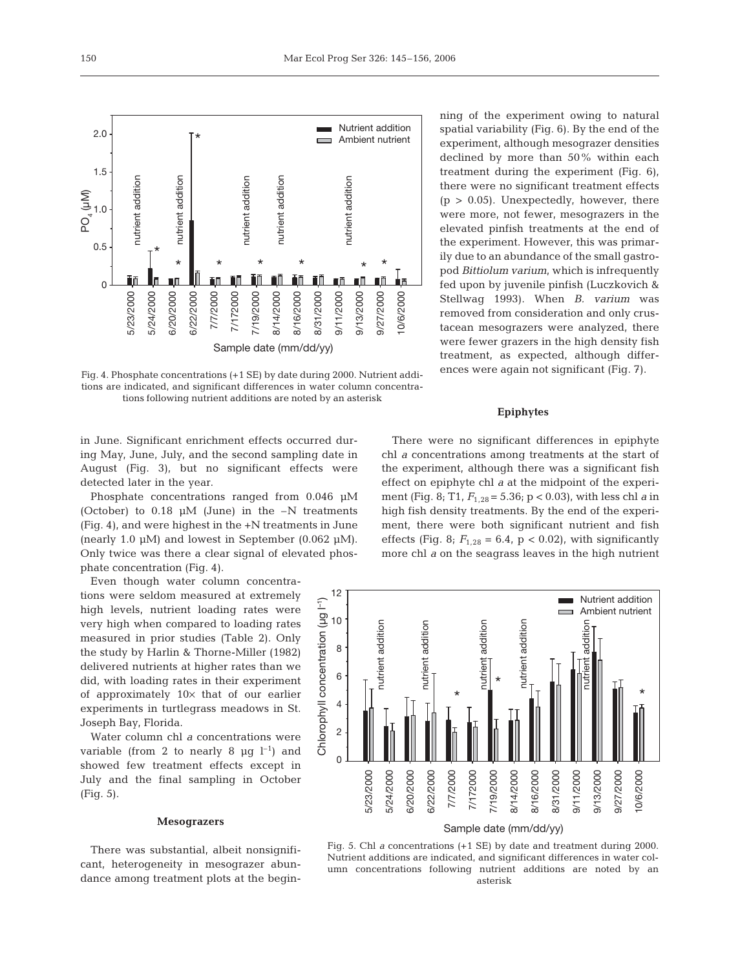

Fig. 4. Phosphate concentrations (+1 SE) by date during 2000. Nutrient additions are indicated, and significant differences in water column concentrations following nutrient additions are noted by an asterisk

in June. Significant enrichment effects occurred during May, June, July, and the second sampling date in August (Fig. 3), but no significant effects were detected later in the year.

Phosphate concentrations ranged from 0.046 µM (October) to  $0.18$  µM (June) in the  $-N$  treatments (Fig. 4), and were highest in the +N treatments in June (nearly 1.0  $\mu$ M) and lowest in September (0.062  $\mu$ M). Only twice was there a clear signal of elevated phosphate concentration (Fig. 4).

Even though water column concentrations were seldom measured at extremely high levels, nutrient loading rates were very high when compared to loading rates measured in prior studies (Table 2). Only the study by Harlin & Thorne-Miller (1982) delivered nutrients at higher rates than we did, with loading rates in their experiment of approximately  $10\times$  that of our earlier experiments in turtlegrass meadows in St. Joseph Bay, Florida.

Water column chl *a* concentrations were variable (from 2 to nearly 8  $\mu$ g l<sup>-1</sup>) and showed few treatment effects except in July and the final sampling in October (Fig. 5).

#### **Mesograzers**

There was substantial, albeit nonsignificant, heterogeneity in mesograzer abundance among treatment plots at the beginning of the experiment owing to natural spatial variability (Fig. 6). By the end of the experiment, although mesograzer densities declined by more than 50% within each treatment during the experiment (Fig. 6), there were no significant treatment effects  $(p > 0.05)$ . Unexpectedly, however, there were more, not fewer, mesograzers in the elevated pinfish treatments at the end of the experiment. However, this was primarily due to an abundance of the small gastropod *Bittiolum varium*, which is infrequently fed upon by juvenile pinfish (Luczkovich & Stellwag 1993). When *B. varium* was removed from consideration and only crustacean mesograzers were analyzed, there were fewer grazers in the high density fish treatment, as expected, although differences were again not significant (Fig. 7).

#### **Epiphytes**

There were no significant differences in epiphyte chl *a* concentrations among treatments at the start of the experiment, although there was a significant fish effect on epiphyte chl *a* at the midpoint of the experiment (Fig. 8; T1, *F*1,28 = 5.36; p < 0.03), with less chl *a* in high fish density treatments. By the end of the experiment, there were both significant nutrient and fish effects (Fig. 8;  $F_{1,28} = 6.4$ ,  $p < 0.02$ ), with significantly more chl *a* on the seagrass leaves in the high nutrient



Fig. 5. Chl *a* concentrations (+1 SE) by date and treatment during 2000. Nutrient additions are indicated, and significant differences in water column concentrations following nutrient additions are noted by an asterisk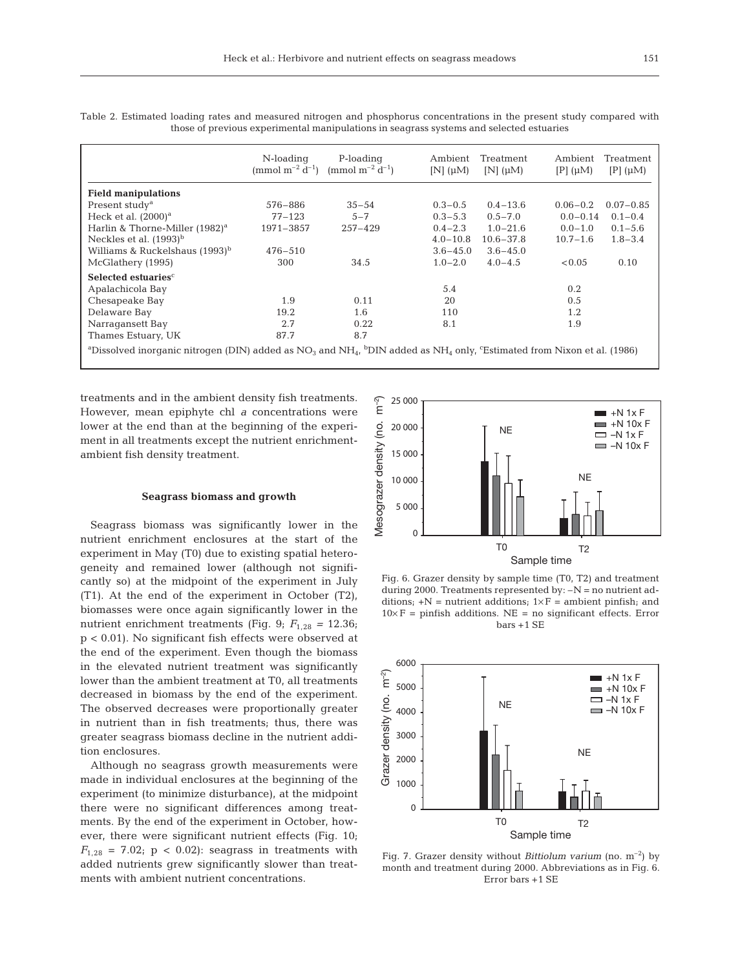|                                                                                                                                                        | N-loading<br>(mmol m <sup>-2</sup> d <sup>-1</sup> ) | P-loading<br>(mmol m <sup>-2</sup> d <sup>-1</sup> ) | Ambient<br>[N] $(\mu M)$ | Treatment<br>[N] $(\mu M)$ | Ambient<br>$[P](\mu M)$ | Treatment<br>$[P](\mu M)$ |  |
|--------------------------------------------------------------------------------------------------------------------------------------------------------|------------------------------------------------------|------------------------------------------------------|--------------------------|----------------------------|-------------------------|---------------------------|--|
| <b>Field manipulations</b>                                                                                                                             |                                                      |                                                      |                          |                            |                         |                           |  |
| Present study <sup>a</sup>                                                                                                                             | 576-886                                              | $35 - 54$                                            | $0.3 - 0.5$              | $0.4 - 13.6$               | $0.06 - 0.2$            | $0.07 - 0.85$             |  |
| Heck et al. $(2000)^a$                                                                                                                                 | $77 - 123$                                           | $5 - 7$                                              | $0.3 - 5.3$              | $0.5 - 7.0$                | $0.0 - 0.14$            | $0.1 - 0.4$               |  |
| Harlin & Thorne-Miller $(1982)^a$                                                                                                                      | 1971-3857                                            | $257 - 429$                                          | $0.4 - 2.3$              | $1.0 - 21.6$               | $0.0 - 1.0$             | $0.1 - 5.6$               |  |
| Neckles et al. $(1993)^b$                                                                                                                              |                                                      |                                                      | $4.0 - 10.8$             | $10.6 - 37.8$              | $10.7 - 1.6$            | $1.8 - 3.4$               |  |
| Williams & Ruckelshaus (1993) <sup>b</sup>                                                                                                             | $476 - 510$                                          |                                                      | $3.6 - 45.0$             | $3.6 - 45.0$               |                         |                           |  |
| McGlathery (1995)                                                                                                                                      | 300                                                  | 34.5                                                 | $1.0 - 2.0$              | $4.0 - 4.5$                | < 0.05                  | 0.10                      |  |
| Selected estuaries <sup>c</sup>                                                                                                                        |                                                      |                                                      |                          |                            |                         |                           |  |
| Apalachicola Bay                                                                                                                                       |                                                      |                                                      | 5.4                      |                            | 0.2                     |                           |  |
| Chesapeake Bay                                                                                                                                         | 1.9                                                  | 0.11                                                 | 20                       |                            | 0.5                     |                           |  |
| Delaware Bay                                                                                                                                           | 19.2                                                 | 1.6                                                  | 110                      |                            | 1.2                     |                           |  |
| Narragansett Bay                                                                                                                                       | 2.7                                                  | 0.22                                                 | 8.1                      |                            | 1.9                     |                           |  |
| Thames Estuary, UK                                                                                                                                     | 87.7                                                 | 8.7                                                  |                          |                            |                         |                           |  |
| <sup>a</sup> Dissolved inorganic nitrogen (DIN) added as $NO_3$ and $NH_4$ , <sup>b</sup> DIN added as $NH_4$ only, Estimated from Nixon et al. (1986) |                                                      |                                                      |                          |                            |                         |                           |  |

Table 2. Estimated loading rates and measured nitrogen and phosphorus concentrations in the present study compared with those of previous experimental manipulations in seagrass systems and selected estuaries

treatments and in the ambient density fish treatments. However, mean epiphyte chl *a* concentrations were lower at the end than at the beginning of the experiment in all treatments except the nutrient enrichmentambient fish density treatment.

#### **Seagrass biomass and growth**

Seagrass biomass was significantly lower in the nutrient enrichment enclosures at the start of the experiment in May (T0) due to existing spatial heterogeneity and remained lower (although not significantly so) at the midpoint of the experiment in July (T1). At the end of the experiment in October (T2), biomasses were once again significantly lower in the nutrient enrichment treatments (Fig. 9;  $F_{1,28} = 12.36$ ; p < 0.01). No significant fish effects were observed at the end of the experiment. Even though the biomass in the elevated nutrient treatment was significantly lower than the ambient treatment at T0, all treatments decreased in biomass by the end of the experiment. The observed decreases were proportionally greater in nutrient than in fish treatments; thus, there was greater seagrass biomass decline in the nutrient addition enclosures.

Although no seagrass growth measurements were made in individual enclosures at the beginning of the experiment (to minimize disturbance), at the midpoint there were no significant differences among treatments. By the end of the experiment in October, however, there were significant nutrient effects (Fig. 10;  $F_{1,28}$  = 7.02; p < 0.02): seagrass in treatments with added nutrients grew significantly slower than treatments with ambient nutrient concentrations.



Fig. 6. Grazer density by sample time (T0, T2) and treatment during 2000. Treatments represented by:  $-N =$  no nutrient additions;  $+N =$  nutrient additions;  $1 \times F =$  ambient pinfish; and  $10\times$  F = pinfish additions. NE = no significant effects. Error bars +1 SE



Fig. 7. Grazer density without *Bittiolum varium* (no. m–2) by month and treatment during 2000. Abbreviations as in Fig. 6. Error bars +1 SE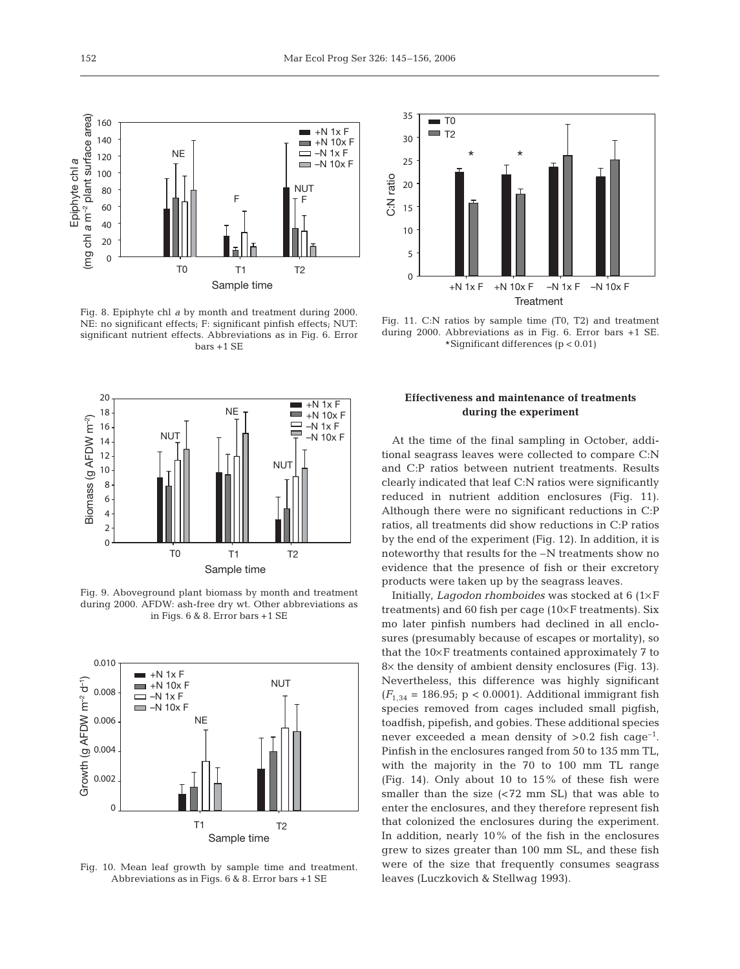$+N$  1x F +N 10x F  $\Box$  –N 1x F  $\equiv$  -N 10x F

**NUT** F

 $\equiv$ 

T2



T0 T1

F

Sample time

**NE** 



Fig. 9. Aboveground plant biomass by month and treatment during 2000. AFDW: ash-free dry wt. Other abbreviations as in Figs. 6 & 8. Error bars +1 SE



Fig. 10. Mean leaf growth by sample time and treatment. Abbreviations as in Figs. 6 & 8. Error bars +1 SE



Fig. 11. C:N ratios by sample time (T0, T2) and treatment during 2000. Abbreviations as in Fig. 6. Error bars +1 SE. #Significant differences (p < 0.01)

# **Effectiveness and maintenance of treatments during the experiment**

At the time of the final sampling in October, additional seagrass leaves were collected to compare C:N and C:P ratios between nutrient treatments. Results clearly indicated that leaf C:N ratios were significantly reduced in nutrient addition enclosures (Fig. 11). Although there were no significant reductions in C:P ratios, all treatments did show reductions in C:P ratios by the end of the experiment (Fig. 12). In addition, it is noteworthy that results for the –N treatments show no evidence that the presence of fish or their excretory products were taken up by the seagrass leaves.

Initially, *Lagodon rhomboides* was stocked at 6 (1× F treatments) and 60 fish per cage  $(10\times$ F treatments). Six mo later pinfish numbers had declined in all enclosures (presumably because of escapes or mortality), so that the  $10\times$ F treatments contained approximately  $7$  to 8× the density of ambient density enclosures (Fig. 13). Nevertheless, this difference was highly significant  $(F_{1,34} = 186.95; p < 0.0001)$ . Additional immigrant fish species removed from cages included small pigfish, toadfish, pipefish, and gobies. These additional species never exceeded a mean density of  $>0.2$  fish cage<sup>-1</sup>. Pinfish in the enclosures ranged from 50 to 135 mm TL, with the majority in the 70 to 100 mm TL range (Fig. 14). Only about 10 to 15% of these fish were smaller than the size (<72 mm SL) that was able to enter the enclosures, and they therefore represent fish that colonized the enclosures during the experiment. In addition, nearly 10% of the fish in the enclosures grew to sizes greater than 100 mm SL, and these fish were of the size that frequently consumes seagrass leaves (Luczkovich & Stellwag 1993).

area) 160

Epiphyte chl *a* (mg chl *a* m–2 plant surface area) 160

Epiphyte chl a

(mg chl a m<sup>-2</sup> plant surface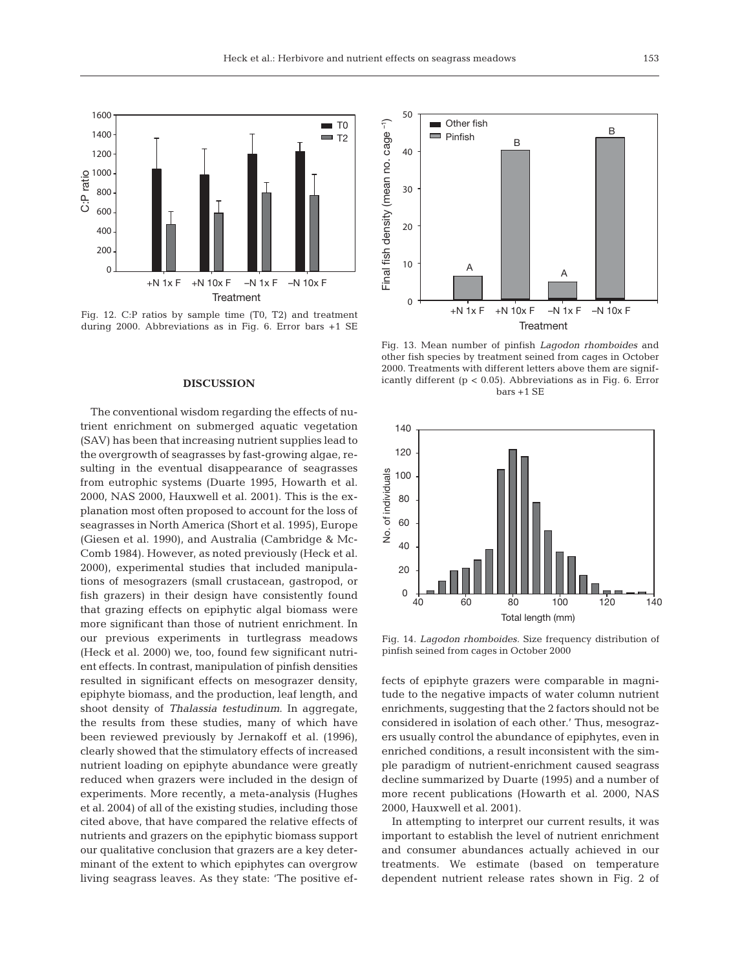

Fig. 12. C:P ratios by sample time (T0, T2) and treatment during 2000. Abbreviations as in Fig. 6. Error bars +1 SE

# **DISCUSSION**

The conventional wisdom regarding the effects of nutrient enrichment on submerged aquatic vegetation (SAV) has been that increasing nutrient supplies lead to the overgrowth of seagrasses by fast-growing algae, resulting in the eventual disappearance of seagrasses from eutrophic systems (Duarte 1995, Howarth et al. 2000, NAS 2000, Hauxwell et al. 2001). This is the explanation most often proposed to account for the loss of seagrasses in North America (Short et al. 1995), Europe (Giesen et al. 1990), and Australia (Cambridge & Mc-Comb 1984). However, as noted previously (Heck et al. 2000), experimental studies that included manipulations of mesograzers (small crustacean, gastropod, or fish grazers) in their design have consistently found that grazing effects on epiphytic algal biomass were more significant than those of nutrient enrichment. In our previous experiments in turtlegrass meadows (Heck et al. 2000) we, too, found few significant nutrient effects. In contrast, manipulation of pinfish densities resulted in significant effects on mesograzer density, epiphyte biomass, and the production, leaf length, and shoot density of *Thalassia testudinum*. In aggregate, the results from these studies, many of which have been reviewed previously by Jernakoff et al. (1996), clearly showed that the stimulatory effects of increased nutrient loading on epiphyte abundance were greatly reduced when grazers were included in the design of experiments. More recently, a meta-analysis (Hughes et al. 2004) of all of the existing studies, including those cited above, that have compared the relative effects of nutrients and grazers on the epiphytic biomass support our qualitative conclusion that grazers are a key determinant of the extent to which epiphytes can overgrow living seagrass leaves. As they state: 'The positive ef-



Fig. 13. Mean number of pinfish *Lagodon rhomboides* and other fish species by treatment seined from cages in October 2000. Treatments with different letters above them are significantly different ( $p < 0.05$ ). Abbreviations as in Fig. 6. Error bars +1 SE



Fig. 14. *Lagodon rhomboides.* Size frequency distribution of pinfish seined from cages in October 2000

fects of epiphyte grazers were comparable in magnitude to the negative impacts of water column nutrient enrichments, suggesting that the 2 factors should not be considered in isolation of each other.' Thus, mesograzers usually control the abundance of epiphytes, even in enriched conditions, a result inconsistent with the simple paradigm of nutrient-enrichment caused seagrass decline summarized by Duarte (1995) and a number of more recent publications (Howarth et al. 2000, NAS 2000, Hauxwell et al. 2001).

In attempting to interpret our current results, it was important to establish the level of nutrient enrichment and consumer abundances actually achieved in our treatments. We estimate (based on temperature dependent nutrient release rates shown in Fig. 2 of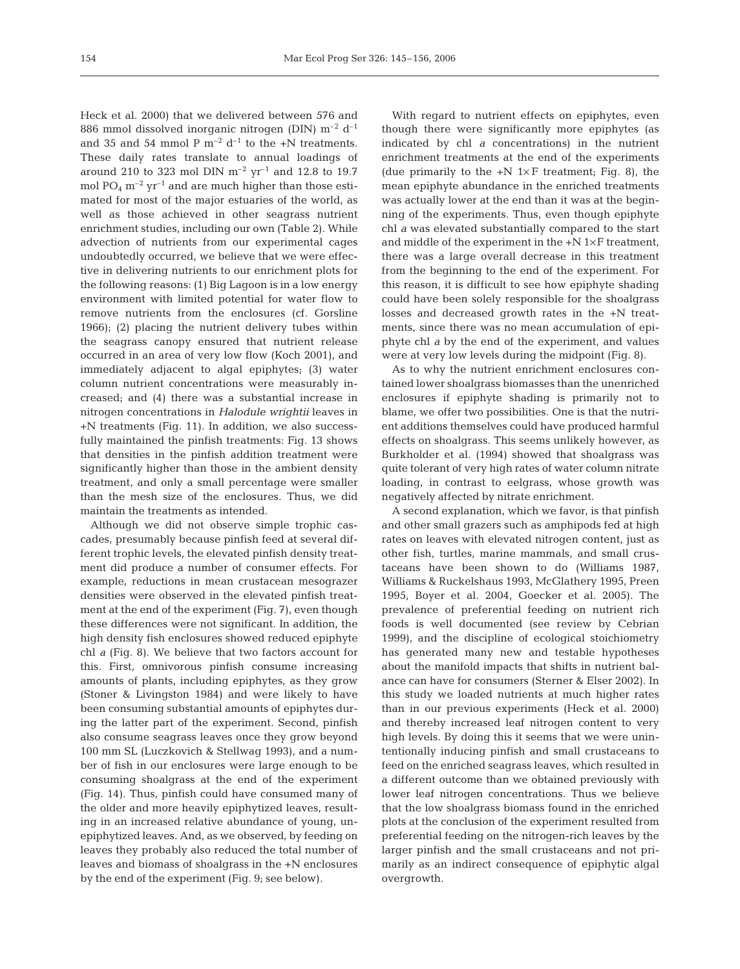Heck et al. 2000) that we delivered between 576 and 886 mmol dissolved inorganic nitrogen (DIN)  $m^{-2}$  d<sup>-1</sup> and 35 and 54 mmol P  $m^{-2}$  d<sup>-1</sup> to the  $+N$  treatments. These daily rates translate to annual loadings of around 210 to 323 mol DIN  $m^{-2}$  yr<sup>-1</sup> and 12.8 to 19.7 mol  $PO_4$  m<sup>-2</sup> yr<sup>-1</sup> and are much higher than those estimated for most of the major estuaries of the world, as well as those achieved in other seagrass nutrient enrichment studies, including our own (Table 2). While advection of nutrients from our experimental cages undoubtedly occurred, we believe that we were effective in delivering nutrients to our enrichment plots for the following reasons: (1) Big Lagoon is in a low energy environment with limited potential for water flow to remove nutrients from the enclosures (cf. Gorsline 1966); (2) placing the nutrient delivery tubes within the seagrass canopy ensured that nutrient release occurred in an area of very low flow (Koch 2001), and immediately adjacent to algal epiphytes; (3) water column nutrient concentrations were measurably increased; and (4) there was a substantial increase in nitrogen concentrations in *Halodule wrightii* leaves in +N treatments (Fig. 11). In addition, we also successfully maintained the pinfish treatments: Fig. 13 shows that densities in the pinfish addition treatment were significantly higher than those in the ambient density treatment, and only a small percentage were smaller than the mesh size of the enclosures. Thus, we did maintain the treatments as intended.

Although we did not observe simple trophic cascades, presumably because pinfish feed at several different trophic levels, the elevated pinfish density treatment did produce a number of consumer effects. For example, reductions in mean crustacean mesograzer densities were observed in the elevated pinfish treatment at the end of the experiment (Fig. 7), even though these differences were not significant. In addition, the high density fish enclosures showed reduced epiphyte chl *a* (Fig. 8). We believe that two factors account for this. First, omnivorous pinfish consume increasing amounts of plants, including epiphytes, as they grow (Stoner & Livingston 1984) and were likely to have been consuming substantial amounts of epiphytes during the latter part of the experiment. Second, pinfish also consume seagrass leaves once they grow beyond 100 mm SL (Luczkovich & Stellwag 1993), and a number of fish in our enclosures were large enough to be consuming shoalgrass at the end of the experiment (Fig. 14). Thus, pinfish could have consumed many of the older and more heavily epiphytized leaves, resulting in an increased relative abundance of young, unepiphytized leaves. And, as we observed, by feeding on leaves they probably also reduced the total number of leaves and biomass of shoalgrass in the +N enclosures by the end of the experiment (Fig. 9; see below).

With regard to nutrient effects on epiphytes, even though there were significantly more epiphytes (as indicated by chl *a* concentrations) in the nutrient enrichment treatments at the end of the experiments (due primarily to the  $+N$  1×F treatment; Fig. 8), the mean epiphyte abundance in the enriched treatments was actually lower at the end than it was at the beginning of the experiments. Thus, even though epiphyte chl *a* was elevated substantially compared to the start and middle of the experiment in the  $+N$  1 $\times$ F treatment, there was a large overall decrease in this treatment from the beginning to the end of the experiment. For this reason, it is difficult to see how epiphyte shading could have been solely responsible for the shoalgrass losses and decreased growth rates in the +N treatments, since there was no mean accumulation of epiphyte chl *a* by the end of the experiment, and values were at very low levels during the midpoint (Fig. 8).

As to why the nutrient enrichment enclosures contained lower shoalgrass biomasses than the unenriched enclosures if epiphyte shading is primarily not to blame, we offer two possibilities. One is that the nutrient additions themselves could have produced harmful effects on shoalgrass. This seems unlikely however, as Burkholder et al. (1994) showed that shoalgrass was quite tolerant of very high rates of water column nitrate loading, in contrast to eelgrass, whose growth was negatively affected by nitrate enrichment.

A second explanation, which we favor, is that pinfish and other small grazers such as amphipods fed at high rates on leaves with elevated nitrogen content, just as other fish, turtles, marine mammals, and small crustaceans have been shown to do (Williams 1987, Williams & Ruckelshaus 1993, McGlathery 1995, Preen 1995, Boyer et al. 2004, Goecker et al. 2005). The prevalence of preferential feeding on nutrient rich foods is well documented (see review by Cebrian 1999), and the discipline of ecological stoichiometry has generated many new and testable hypotheses about the manifold impacts that shifts in nutrient balance can have for consumers (Sterner & Elser 2002). In this study we loaded nutrients at much higher rates than in our previous experiments (Heck et al. 2000) and thereby increased leaf nitrogen content to very high levels. By doing this it seems that we were unintentionally inducing pinfish and small crustaceans to feed on the enriched seagrass leaves, which resulted in a different outcome than we obtained previously with lower leaf nitrogen concentrations. Thus we believe that the low shoalgrass biomass found in the enriched plots at the conclusion of the experiment resulted from preferential feeding on the nitrogen-rich leaves by the larger pinfish and the small crustaceans and not primarily as an indirect consequence of epiphytic algal overgrowth.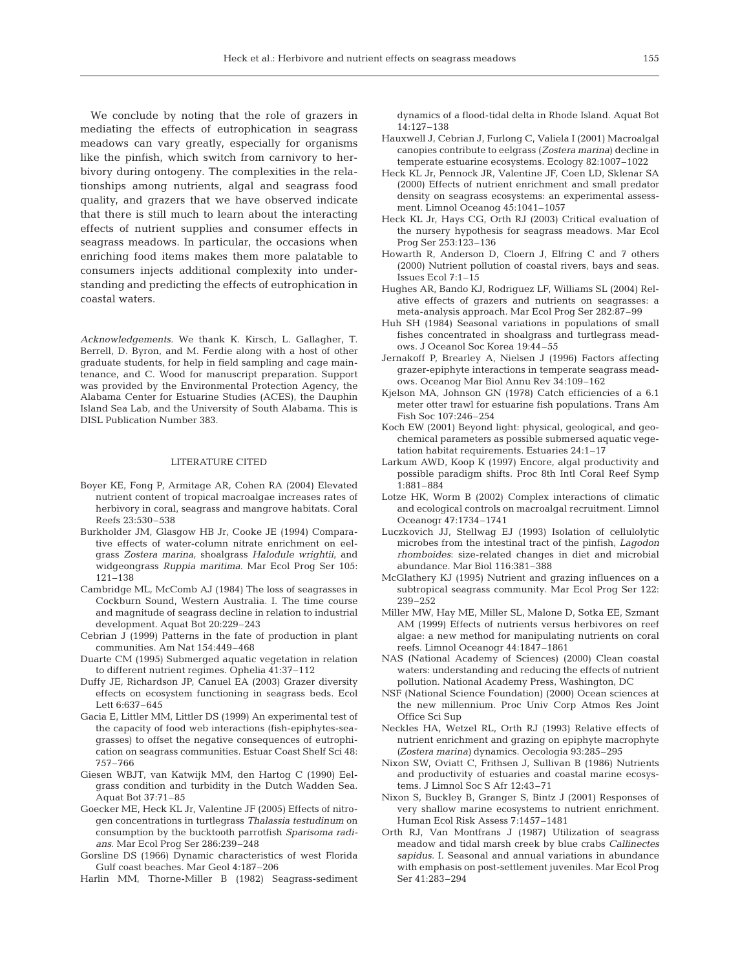We conclude by noting that the role of grazers in mediating the effects of eutrophication in seagrass meadows can vary greatly, especially for organisms like the pinfish, which switch from carnivory to herbivory during ontogeny. The complexities in the relationships among nutrients, algal and seagrass food quality, and grazers that we have observed indicate that there is still much to learn about the interacting effects of nutrient supplies and consumer effects in seagrass meadows. In particular, the occasions when enriching food items makes them more palatable to consumers injects additional complexity into understanding and predicting the effects of eutrophication in coastal waters.

*Acknowledgements.* We thank K. Kirsch, L. Gallagher, T. Berrell, D. Byron, and M. Ferdie along with a host of other graduate students, for help in field sampling and cage maintenance, and C. Wood for manuscript preparation. Support was provided by the Environmental Protection Agency, the Alabama Center for Estuarine Studies (ACES), the Dauphin Island Sea Lab, and the University of South Alabama. This is DISL Publication Number 383.

#### LITERATURE CITED

- Boyer KE, Fong P, Armitage AR, Cohen RA (2004) Elevated nutrient content of tropical macroalgae increases rates of herbivory in coral, seagrass and mangrove habitats. Coral Reefs 23:530–538
- Burkholder JM, Glasgow HB Jr, Cooke JE (1994) Comparative effects of water-column nitrate enrichment on eelgrass *Zostera marina*, shoalgrass *Halodule wrightii*, and widgeongrass *Ruppia maritima*. Mar Ecol Prog Ser 105: 121–138
- Cambridge ML, McComb AJ (1984) The loss of seagrasses in Cockburn Sound, Western Australia. I. The time course and magnitude of seagrass decline in relation to industrial development. Aquat Bot 20:229–243
- Cebrian J (1999) Patterns in the fate of production in plant communities. Am Nat 154:449–468
- Duarte CM (1995) Submerged aquatic vegetation in relation to different nutrient regimes. Ophelia 41:37–112
- Duffy JE, Richardson JP, Canuel EA (2003) Grazer diversity effects on ecosystem functioning in seagrass beds. Ecol Lett 6:637–645
- Gacia E, Littler MM, Littler DS (1999) An experimental test of the capacity of food web interactions (fish-epiphytes-seagrasses) to offset the negative consequences of eutrophication on seagrass communities. Estuar Coast Shelf Sci 48: 757–766
- Giesen WBJT, van Katwijk MM, den Hartog C (1990) Eelgrass condition and turbidity in the Dutch Wadden Sea. Aquat Bot 37:71–85
- Goecker ME, Heck KL Jr, Valentine JF (2005) Effects of nitrogen concentrations in turtlegrass *Thalassia testudinum* on consumption by the bucktooth parrotfish *Sparisoma radians*. Mar Ecol Prog Ser 286:239–248
- Gorsline DS (1966) Dynamic characteristics of west Florida Gulf coast beaches. Mar Geol 4:187–206
- Harlin MM, Thorne-Miller B (1982) Seagrass-sediment

dynamics of a flood-tidal delta in Rhode Island. Aquat Bot 14:127–138

- Hauxwell J, Cebrian J, Furlong C, Valiela I (2001) Macroalgal canopies contribute to eelgrass (*Zostera marina*) decline in temperate estuarine ecosystems. Ecology 82:1007–1022
- Heck KL Jr, Pennock JR, Valentine JF, Coen LD, Sklenar SA (2000) Effects of nutrient enrichment and small predator density on seagrass ecosystems: an experimental assessment. Limnol Oceanog 45:1041–1057
- Heck KL Jr, Hays CG, Orth RJ (2003) Critical evaluation of the nursery hypothesis for seagrass meadows. Mar Ecol Prog Ser 253:123–136
- Howarth R, Anderson D, Cloern J, Elfring C and 7 others (2000) Nutrient pollution of coastal rivers, bays and seas. Issues Ecol 7:1–15
- Hughes AR, Bando KJ, Rodriguez LF, Williams SL (2004) Relative effects of grazers and nutrients on seagrasses: a meta-analysis approach. Mar Ecol Prog Ser 282:87–99
- Huh SH (1984) Seasonal variations in populations of small fishes concentrated in shoalgrass and turtlegrass meadows. J Oceanol Soc Korea 19:44–55
- Jernakoff P, Brearley A, Nielsen J (1996) Factors affecting grazer-epiphyte interactions in temperate seagrass meadows. Oceanog Mar Biol Annu Rev 34:109–162
- Kjelson MA, Johnson GN (1978) Catch efficiencies of a 6.1 meter otter trawl for estuarine fish populations. Trans Am Fish Soc 107:246–254
- Koch EW (2001) Beyond light: physical, geological, and geochemical parameters as possible submersed aquatic vegetation habitat requirements. Estuaries 24:1–17
- Larkum AWD, Koop K (1997) Encore, algal productivity and possible paradigm shifts. Proc 8th Intl Coral Reef Symp 1:881–884
- Lotze HK, Worm B (2002) Complex interactions of climatic and ecological controls on macroalgal recruitment. Limnol Oceanogr 47:1734–1741
- Luczkovich JJ, Stellwag EJ (1993) Isolation of cellulolytic microbes from the intestinal tract of the pinfish, *Lagodon rhomboides*: size-related changes in diet and microbial abundance. Mar Biol 116:381–388
- McGlathery KJ (1995) Nutrient and grazing influences on a subtropical seagrass community. Mar Ecol Prog Ser 122: 239–252
- Miller MW, Hay ME, Miller SL, Malone D, Sotka EE, Szmant AM (1999) Effects of nutrients versus herbivores on reef algae: a new method for manipulating nutrients on coral reefs. Limnol Oceanogr 44:1847–1861
- NAS (National Academy of Sciences) (2000) Clean coastal waters: understanding and reducing the effects of nutrient pollution. National Academy Press, Washington, DC
- NSF (National Science Foundation) (2000) Ocean sciences at the new millennium. Proc Univ Corp Atmos Res Joint Office Sci Sup
- Neckles HA, Wetzel RL, Orth RJ (1993) Relative effects of nutrient enrichment and grazing on epiphyte macrophyte *(Zostera marina)* dynamics. Oecologia 93:285–295
- Nixon SW, Oviatt C, Frithsen J, Sullivan B (1986) Nutrients and productivity of estuaries and coastal marine ecosystems. J Limnol Soc S Afr 12:43–71
- Nixon S, Buckley B, Granger S, Bintz J (2001) Responses of very shallow marine ecosystems to nutrient enrichment. Human Ecol Risk Assess 7:1457–1481
- Orth RJ, Van Montfrans J (1987) Utilization of seagrass meadow and tidal marsh creek by blue crabs *Callinectes sapidus*. I. Seasonal and annual variations in abundance with emphasis on post-settlement juveniles. Mar Ecol Prog Ser 41:283–294